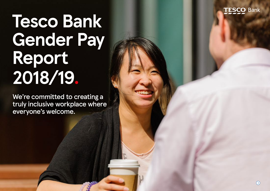

# **Tesco Bank Gender Pay Report 2018/19.**

We're committed to creating a truly inclusive workplace where everyone's welcome.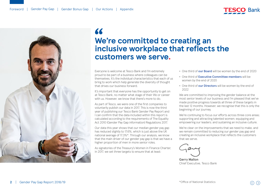



## **We're committed to creating an " inclusive workplace that reflects the customers we serve.**

Everyone is welcome at Tesco Bank and I'm extremely proud to be part of a business where colleagues can be themselves. It's the individual characteristics that each of us bring to work which help generate the diversity of thought that drives our business forward.

It's important that everyone has the opportunity to get on at Tesco Bank, no matter what stage of their life or career with us. However, we know that there's more to do.

As part of Tesco, we were one of the first companies to voluntarily publish our data in 2017. This is now the third year of publishing our Tesco Bank Gender Pay Report and I can confirm that the data included within this report is calculated according to the requirements of The Equality Act 2010 (Gender Pay Gap information) Regulations 2017.

Our data this year shows that our median gender pay gap has reduced slightly to 17.6%, which is just above the UK national average of 17.3%\*. Through our analysis, we know that the main driver of our gender pay gap is that we have a higher proportion of men in more senior roles.

As signatories of the Treasury's Women in Finance Charter, in 2017, we set three targets to ensure that at least:

- **•** One third of **our Board** will be women by the end of 2020
- **•** One third of **Executive Committee members** will be women by the end of 2020
- **•** One third of **our Directors** will be women by the end of 2022

We are committed to improving the gender balance at the most senior levels of our business and I'm pleased that we've made positive progress towards all three of these targets in the last 12 months. However, we recognise that this is only the beginning of our journey.

We're continuing to focus our efforts across three core areas; supporting and attracting talented women; equipping and empowering our leaders; and sustaining an inclusive culture.

We're clear on the improvements that we need to make, and we remain committed to reducing our gender pay gap and creating an inclusive workplace that reflects the customers that we serve.

**Gerry Mallon** Chief Executive, Tesco Bank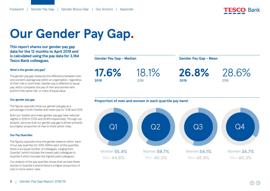

## **Our Gender Pay Gap.**

**This report shares our gender pay gap data for the 12 months to April 2019 and is calculated using the pay data for 3,164 Tesco Bank colleagues.**

#### **What is the gender pay gap?**

The gender pay gap measures the difference between men and women's average pay within an organisation, regardless of their role or work level. Gender pay is different to equal pay, which compares the pay of men and women who perform the same role, or roles of equal value.

#### **Our gender pay gap**

The figures opposite show our gender pay gap as a percentage in both median and mean pay for 2018 and 2019.

Both our median and mean gender pay gap have reduced slightly in 2019 to 17.6% and 26.8% respectively. Through our analysis, we know that our gender pay gap is driven primarily by a higher proportion of men in more senior roles.

#### **Our Pay Quartiles**

The figures opposite show the gender balance within each of our pay quartiles for 2019. Within each of the quartiles, there is an equal number of colleagues, ranging from Quartile 1 which includes the lowest paid colleagues to Quartile 4 which includes the highest paid colleagues.

Our analysis of the pay quartiles shows that we have fewer women in Quartile 4 where there is a higher proportion of men in more senior roles.

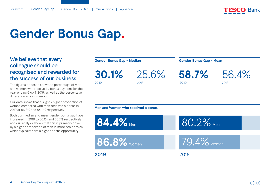

## **Gender Bonus Gap.**

## We believe that every colleague should be recognised and rewarded for the success of our business.

The figures opposite show the percentage of men and women who received a bonus payment for the year ending 5 April 2019, as well as the percentage difference in bonus amount.

Our data shows that a slightly higher proportion of women compared with men received a bonus in 2019 at 86.8% and 84.4% respectively.

Both our median and mean gender bonus gap have increased in 2019 to 30.1% and 58.7% respectively and our analysis shows that this is primarily driven by a higher proportion of men in more senior roles which typically have a higher bonus opportunity.

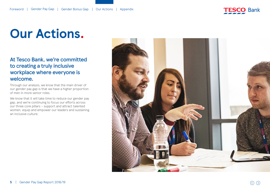

## **Our Actions.**

## At Tesco Bank, we're committed to creating a truly inclusive workplace where everyone is welcome.

Through our analysis, we know that the main driver of our gender pay gap is that we have a higher proportion of men in more senior roles.

We know that it will take time to reduce our gender pay gap, and we're continuing to focus our efforts across our three core pillars – support and attract talented women, equip and empower our leaders and sustaining an inclusive culture.

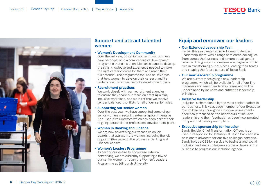



### **Support and attract talented women**

#### **• Women's Development Community**

Over the last year, 30 senior women in our business have participated in a comprehensive development programme that aims to enable participants to develop the skills, knowledge and experience needed to make the right career choices for them and reach their full potential. The programme focused on key areas that help women to develop their careers, and it's underpinned by active, bespoke development plans.

#### **• Recruitment practices**

We work closely with our recruitment agencies to ensure they share our focus on creating a truly inclusive workplace, and we insist that we receive gender balanced shortlists for all of our senior roles.

#### **• Supporting our senior women**

Over the past year, we have supported some of our senior women in securing external appointments as Non-Executive Directors which has been part of their ongoing personal and professional development plans.

#### **• Women in Banking and Finance**

We are now advertising our vacancies on job boards that attract more women, including the job opportunities page on the Women in Banking and Finance website.

#### **• Women's Leaders Programme**

As part of our desire to encourage external networking, we are currently supporting a few of our senior women through the Women's Leaders Programme at Edinburgh University.

## **Equip and empower our leaders**

#### **• Our Extended Leadership Team**

Earlier this year, we established a new 'Extended Leadership Team' with a range of talented colleagues from across the business and a more equal gender balance. This group of colleagues are playing a crucial role in transforming our business, leading their teams and shaping the future culture of Tesco Bank.

#### **• Our new leadership programme**

We are currently designing a new leadership programme which will be available for all of our line managers and senior leadership teams and will be underpinned by inclusive and authentic leadership principles.

#### **• Inclusive leadership**

Inclusion is championed by the most senior leaders in our business. This year, each member of our Executive Committee has undergone individual assessments specifically focused on the behaviours of inclusive leadership and their feedback has been incorporated into personal development plans.

#### **• Executive sponsorship for inclusion**

Sandy Begbie, Chief Transformation Officer, is our Executive Sponsor for Inclusion at Tesco Bank and is a passionate advocate for our five colleague networks. Sandy holds a CBE for service to business and social inclusion and leads colleagues across all levels of our business to progress our inclusion agenda.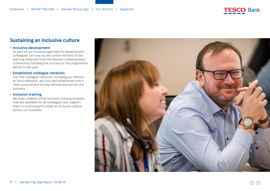

### **Sustaining an inclusive culture**

#### **• Inclusive development**

As part of our inclusive approach to development, colleagues can now access online versions of the learning materials from the Women's Development Community following the success of this programme earlier in the year.

#### **• Established colleague networks**

Our five colleague networks, including our Women at Tesco Network, are now well established with a clear purpose and strong membership across the business.

#### **• Inclusion training**

We have created online inclusion training modules that are available for all colleagues and support them in continuing to create an inclusive culture across our business.

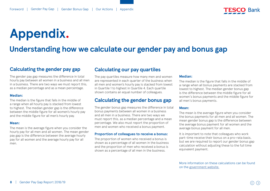

## <span id="page-7-0"></span>**Appendix.**

## **Understanding how we calculate our gender pay and bonus gap**

### **Calculating the gender pay gap**

The gender pay gap measures the difference in total hourly pay between all women in a business and all men in a business. There are two ways we must report this, as a median percentage and as a mean percentage.

#### **Median:**

The median is the figure that falls in the middle of a range when all hourly pay is stacked from lowest to highest. The median gender gap is the difference between the middle figure for all women's hourly pay and the middle figure for all men's hourly pay.

#### **Mean:**

The mean is the average figure when you consider the hourly pay for all men and all women. The mean gender pay gap is the difference between the average hourly pay for all women and the average hourly pay for all men.

### **Calculating our pay quartiles**

The pay quartiles measure how many men and women are represented in each quarter of the business when all men and women's hourly pay is stacked from lowest in Quartile 1 to highest in Quartile 4. Each quartile shown contains an equal number of colleagues.

### **Calculating the gender bonus gap**

The gender bonus gap measures the difference in total bonus payments between all women in a business and all men in a business. There are two ways we must report this, as a median percentage and a mean percentage. We also must report the proportion of men and women who received a bonus payment.

#### **Proportion of colleagues to receive a bonus:**

The proportion of women who received a bonus is shown as a percentage of all women in the business and the proportion of men who received a bonus is shown as a percentage of all men in the business.

#### **Median:**

The median is the figure that falls in the middle of a range when all bonus payments are stacked from lowest to highest. The median gender bonus gap is the difference between the middle figure for all women's bonus payments and the middle figure for all men's bonus payments.

#### **Mean:**

The mean is the average figure when you consider the bonus payments for all men and all women. The mean gender bonus gap is the difference between the average bonus payment for all women and the average bonus payment for all men.

It is important to note that colleagues who work part-time receive their bonus on a pro-rata basis, but we are required to report our gender bonus gap calculation without adjusting these to the full time equivalent payment.

More information on these calculations can be found on the [government website.](https://www.gov.uk/guidance/gender-pay-gap-reporting-make-your-calculations)